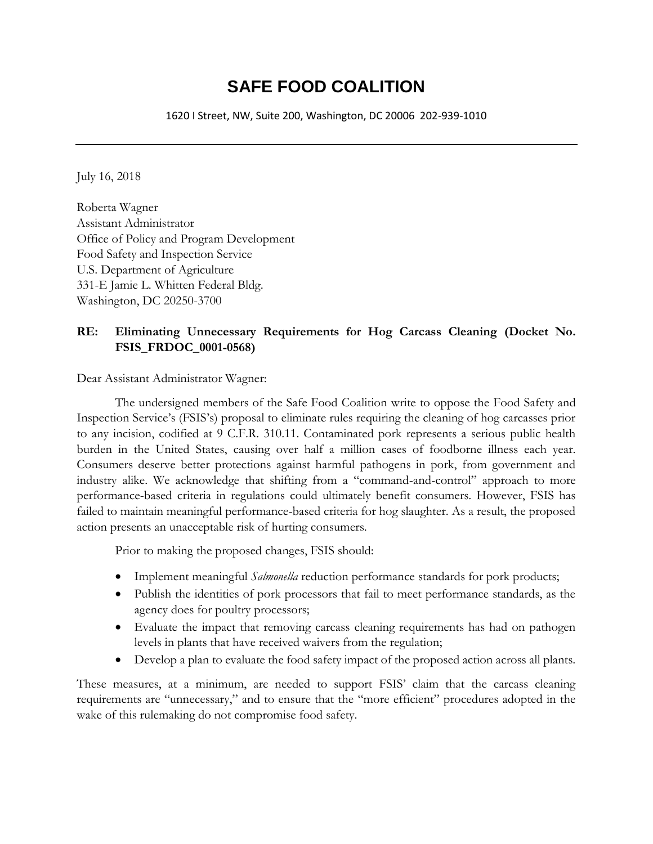# **SAFE FOOD COALITION**

1620 I Street, NW, Suite 200, Washington, DC 20006 202-939-1010

July 16, 2018

Roberta Wagner Assistant Administrator Office of Policy and Program Development Food Safety and Inspection Service U.S. Department of Agriculture 331-E Jamie L. Whitten Federal Bldg. Washington, DC 20250-3700

## **RE: Eliminating Unnecessary Requirements for Hog Carcass Cleaning (Docket No. FSIS\_FRDOC\_0001-0568)**

Dear Assistant Administrator Wagner:

The undersigned members of the Safe Food Coalition write to oppose the Food Safety and Inspection Service's (FSIS's) proposal to eliminate rules requiring the cleaning of hog carcasses prior to any incision, codified at 9 C.F.R. 310.11. Contaminated pork represents a serious public health burden in the United States, causing over half a million cases of foodborne illness each year. Consumers deserve better protections against harmful pathogens in pork, from government and industry alike. We acknowledge that shifting from a "command-and-control" approach to more performance-based criteria in regulations could ultimately benefit consumers. However, FSIS has failed to maintain meaningful performance-based criteria for hog slaughter. As a result, the proposed action presents an unacceptable risk of hurting consumers.

Prior to making the proposed changes, FSIS should:

- Implement meaningful *Salmonella* reduction performance standards for pork products;
- Publish the identities of pork processors that fail to meet performance standards, as the agency does for poultry processors;
- Evaluate the impact that removing carcass cleaning requirements has had on pathogen levels in plants that have received waivers from the regulation;
- Develop a plan to evaluate the food safety impact of the proposed action across all plants.

These measures, at a minimum, are needed to support FSIS' claim that the carcass cleaning requirements are "unnecessary," and to ensure that the "more efficient" procedures adopted in the wake of this rulemaking do not compromise food safety.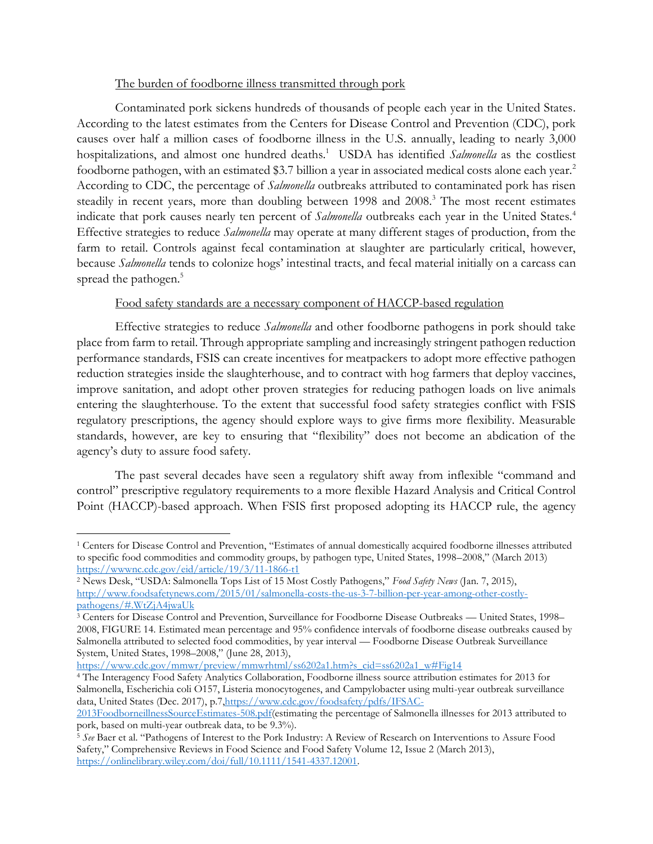### The burden of foodborne illness transmitted through pork

Contaminated pork sickens hundreds of thousands of people each year in the United States. According to the latest estimates from the Centers for Disease Control and Prevention (CDC), pork causes over half a million cases of foodborne illness in the U.S. annually, leading to nearly 3,000 hospitalizations, and almost one hundred deaths.<sup>1</sup> USDA has identified *Salmonella* as the costliest foodborne pathogen, with an estimated \$3.7 billion a year in associated medical costs alone each year.<sup>2</sup> According to CDC, the percentage of *Salmonella* outbreaks attributed to contaminated pork has risen steadily in recent years, more than doubling between 1998 and 2008.<sup>3</sup> The most recent estimates indicate that pork causes nearly ten percent of *Salmonella* outbreaks each year in the United States.<sup>4</sup> Effective strategies to reduce *Salmonella* may operate at many different stages of production, from the farm to retail. Controls against fecal contamination at slaughter are particularly critical, however, because *Salmonella* tends to colonize hogs' intestinal tracts, and fecal material initially on a carcass can spread the pathogen.<sup>5</sup>

#### Food safety standards are a necessary component of HACCP-based regulation

Effective strategies to reduce *Salmonella* and other foodborne pathogens in pork should take place from farm to retail. Through appropriate sampling and increasingly stringent pathogen reduction performance standards, FSIS can create incentives for meatpackers to adopt more effective pathogen reduction strategies inside the slaughterhouse, and to contract with hog farmers that deploy vaccines, improve sanitation, and adopt other proven strategies for reducing pathogen loads on live animals entering the slaughterhouse. To the extent that successful food safety strategies conflict with FSIS regulatory prescriptions, the agency should explore ways to give firms more flexibility. Measurable standards, however, are key to ensuring that "flexibility" does not become an abdication of the agency's duty to assure food safety.

The past several decades have seen a regulatory shift away from inflexible "command and control" prescriptive regulatory requirements to a more flexible Hazard Analysis and Critical Control Point (HACCP)-based approach. When FSIS first proposed adopting its HACCP rule, the agency

[https://www.cdc.gov/mmwr/preview/mmwrhtml/ss6202a1.htm?s\\_cid=ss6202a1\\_w#Fig14](https://www.cdc.gov/mmwr/preview/mmwrhtml/ss6202a1.htm?s_cid=ss6202a1_w#Fig14)

l <sup>1</sup> Centers for Disease Control and Prevention, "Estimates of annual domestically acquired foodborne illnesses attributed to specific food commodities and commodity groups, by pathogen type, United States, 1998–2008," (March 2013) <https://wwwnc.cdc.gov/eid/article/19/3/11-1866-t1>

<sup>2</sup> News Desk, "USDA: Salmonella Tops List of 15 Most Costly Pathogens," *Food Safety News* (Jan. 7, 2015), [http://www.foodsafetynews.com/2015/01/salmonella-costs-the-us-3-7-billion-per-year-among-other-costly](http://www.foodsafetynews.com/2015/01/salmonella-costs-the-us-3-7-billion-per-year-among-other-costly-pathogens/#.WtZjA4jwaUk)[pathogens/#.WtZjA4jwaUk](http://www.foodsafetynews.com/2015/01/salmonella-costs-the-us-3-7-billion-per-year-among-other-costly-pathogens/#.WtZjA4jwaUk)

<sup>&</sup>lt;sup>3</sup> Centers for Disease Control and Prevention, Surveillance for Foodborne Disease Outbreaks — United States, 1998– 2008, FIGURE 14. Estimated mean percentage and 95% confidence intervals of foodborne disease outbreaks caused by Salmonella attributed to selected food commodities, by year interval — Foodborne Disease Outbreak Surveillance System, United States, 1998–2008," (June 28, 2013),

<sup>4</sup> The Interagency Food Safety Analytics Collaboration, Foodborne illness source attribution estimates for 2013 for Salmonella, Escherichia coli O157, Listeria monocytogenes, and Campylobacter using multi-year outbreak surveillance data, United States (Dec. 2017), p.7, https://www.cdc.gov/foodsafety/pdfs/IFSAC-

[<sup>2013</sup>FoodborneillnessSourceEstimates-508.pdf\(](https://www.cdc.gov/foodsafety/pdfs/IFSAC-2013FoodborneillnessSourceEstimates-508.pdf)estimating the percentage of Salmonella illnesses for 2013 attributed to pork, based on multi-year outbreak data, to be 9.3%).

<sup>5</sup> *See* Baer et al. "Pathogens of Interest to the Pork Industry: A Review of Research on Interventions to Assure Food Safety," Comprehensive Reviews in Food Science and Food Safety Volume 12, Issue 2 (March 2013), [https://onlinelibrary.wiley.com/doi/full/10.1111/1541-4337.12001.](https://onlinelibrary.wiley.com/doi/full/10.1111/1541-4337.12001)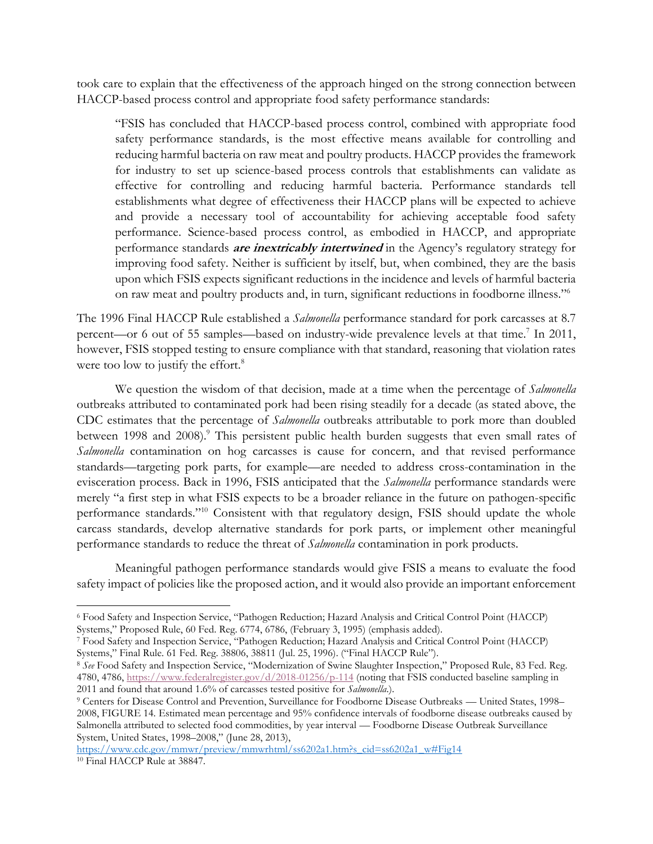took care to explain that the effectiveness of the approach hinged on the strong connection between HACCP-based process control and appropriate food safety performance standards:

"FSIS has concluded that HACCP-based process control, combined with appropriate food safety performance standards, is the most effective means available for controlling and reducing harmful bacteria on raw meat and poultry products. HACCP provides the framework for industry to set up science-based process controls that establishments can validate as effective for controlling and reducing harmful bacteria. Performance standards tell establishments what degree of effectiveness their HACCP plans will be expected to achieve and provide a necessary tool of accountability for achieving acceptable food safety performance. Science-based process control, as embodied in HACCP, and appropriate performance standards **are inextricably intertwined** in the Agency's regulatory strategy for improving food safety. Neither is sufficient by itself, but, when combined, they are the basis upon which FSIS expects significant reductions in the incidence and levels of harmful bacteria on raw meat and poultry products and, in turn, significant reductions in foodborne illness." 6

The 1996 Final HACCP Rule established a *Salmonella* performance standard for pork carcasses at 8.7 percent—or 6 out of 55 samples—based on industry-wide prevalence levels at that time.<sup>7</sup> In 2011, however, FSIS stopped testing to ensure compliance with that standard, reasoning that violation rates were too low to justify the effort.<sup>8</sup>

We question the wisdom of that decision, made at a time when the percentage of *Salmonella*  outbreaks attributed to contaminated pork had been rising steadily for a decade (as stated above, the CDC estimates that the percentage of *Salmonella* outbreaks attributable to pork more than doubled between 1998 and 2008).<sup>9</sup> This persistent public health burden suggests that even small rates of *Salmonella* contamination on hog carcasses is cause for concern, and that revised performance standards—targeting pork parts, for example—are needed to address cross-contamination in the evisceration process. Back in 1996, FSIS anticipated that the *Salmonella* performance standards were merely "a first step in what FSIS expects to be a broader reliance in the future on pathogen-specific performance standards."<sup>10</sup> Consistent with that regulatory design, FSIS should update the whole carcass standards, develop alternative standards for pork parts, or implement other meaningful performance standards to reduce the threat of *Salmonella* contamination in pork products.

Meaningful pathogen performance standards would give FSIS a means to evaluate the food safety impact of policies like the proposed action, and it would also provide an important enforcement

 $\overline{a}$ <sup>6</sup> Food Safety and Inspection Service, "Pathogen Reduction; Hazard Analysis and Critical Control Point (HACCP) Systems," Proposed Rule, 60 Fed. Reg. 6774, 6786, (February 3, 1995) (emphasis added).

<sup>7</sup> Food Safety and Inspection Service, "Pathogen Reduction; Hazard Analysis and Critical Control Point (HACCP) Systems," Final Rule. 61 Fed. Reg. 38806, 38811 (Jul. 25, 1996). ("Final HACCP Rule").

<sup>&</sup>lt;sup>8</sup> See Food Safety and Inspection Service, "Modernization of Swine Slaughter Inspection," Proposed Rule, 83 Fed. Reg. 4780, 4786, <https://www.federalregister.gov/d/2018-01256/p-114> (noting that FSIS conducted baseline sampling in 2011 and found that around 1.6% of carcasses tested positive for *Salmonella*.).

<sup>9</sup> Centers for Disease Control and Prevention, Surveillance for Foodborne Disease Outbreaks — United States, 1998– 2008, FIGURE 14. Estimated mean percentage and 95% confidence intervals of foodborne disease outbreaks caused by Salmonella attributed to selected food commodities, by year interval — Foodborne Disease Outbreak Surveillance System, United States, 1998–2008," (June 28, 2013),

[https://www.cdc.gov/mmwr/preview/mmwrhtml/ss6202a1.htm?s\\_cid=ss6202a1\\_w#Fig14](https://www.cdc.gov/mmwr/preview/mmwrhtml/ss6202a1.htm?s_cid=ss6202a1_w#Fig14) <sup>10</sup> Final HACCP Rule at 38847.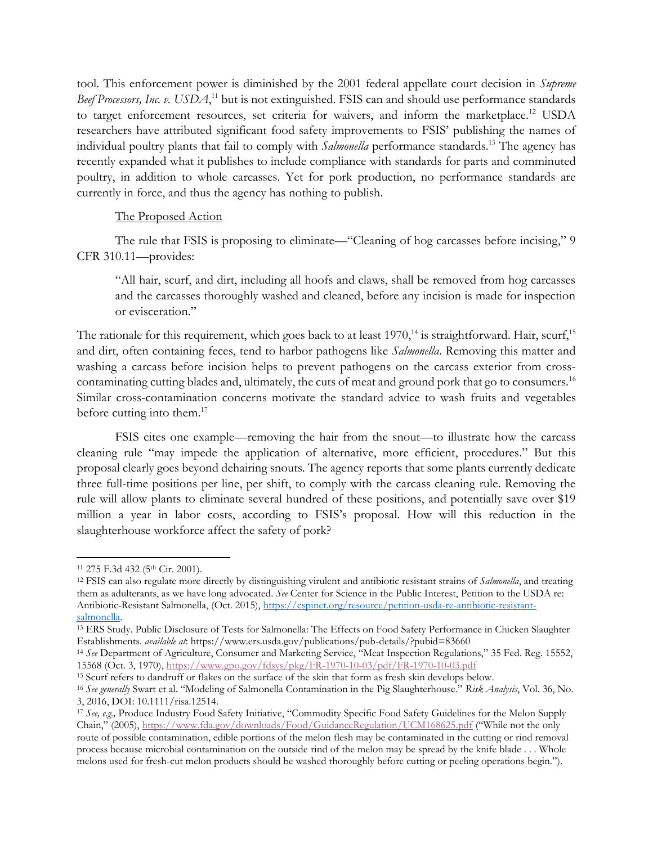tool. This enforcement power is diminished by the 2001 federal appellate court decision in *Supreme*  Beef Processors, Inc. v. USDA,<sup>11</sup> but is not extinguished. FSIS can and should use performance standards to target enforcement resources, set criteria for waivers, and inform the marketplace.<sup>12</sup> USDA researchers have attributed significant food safety improvements to FSIS' publishing the names of individual poultry plants that fail to comply with *Salmonella* performance standards.<sup>13</sup> The agency has recently expanded what it publishes to include compliance with standards for parts and comminuted poultry, in addition to whole carcasses. Yet for pork production, no performance standards are currently in force, and thus the agency has nothing to publish.

#### The Proposed Action

The rule that FSIS is proposing to eliminate—"Cleaning of hog carcasses before incising," 9 CFR 310.11—provides:

"All hair, scurf, and dirt, including all hoofs and claws, shall be removed from hog carcasses and the carcasses thoroughly washed and cleaned, before any incision is made for inspection or evisceration."

The rationale for this requirement, which goes back to at least  $1970$ ,<sup>14</sup> is straightforward. Hair, scurf,<sup>15</sup> and dirt, often containing feces, tend to harbor pathogens like *Salmonella*. Removing this matter and washing a carcass before incision helps to prevent pathogens on the carcass exterior from crosscontaminating cutting blades and, ultimately, the cuts of meat and ground pork that go to consumers.<sup>16</sup> Similar cross-contamination concerns motivate the standard advice to wash fruits and vegetables before cutting into them.<sup>17</sup>

FSIS cites one example—removing the hair from the snout—to illustrate how the carcass cleaning rule "may impede the application of alternative, more efficient, procedures." But this proposal clearly goes beyond dehairing snouts. The agency reports that some plants currently dedicate three full-time positions per line, per shift, to comply with the carcass cleaning rule. Removing the rule will allow plants to eliminate several hundred of these positions, and potentially save over \$19 million a year in labor costs, according to FSIS's proposal. How will this reduction in the slaughterhouse workforce affect the safety of pork?

 $\overline{a}$ 

<sup>&</sup>lt;sup>11</sup> 275 F.3d 432 (5<sup>th</sup> Cir. 2001).

<sup>12</sup> FSIS can also regulate more directly by distinguishing virulent and antibiotic resistant strains of *Salmonella*, and treating them as adulterants, as we have long advocated. *See* Center for Science in the Public Interest, Petition to the USDA re: Antibiotic-Resistant Salmonella, (Oct. 2015), [https://cspinet.org/resource/petition-usda-re-antibiotic-resistant](https://cspinet.org/resource/petition-usda-re-antibiotic-resistant-salmonella)[salmonella.](https://cspinet.org/resource/petition-usda-re-antibiotic-resistant-salmonella) 

<sup>13</sup> ERS Study. Public Disclosure of Tests for Salmonella: The Effects on Food Safety Performance in Chicken Slaughter Establishments. *available at*: https://www.ers.usda.gov/publications/pub-details/?pubid=83660

<sup>14</sup> *See* Department of Agriculture, Consumer and Marketing Service, "Meat Inspection Regulations," 35 Fed. Reg. 15552, 15568 (Oct. 3, 1970), <https://www.gpo.gov/fdsys/pkg/FR-1970-10-03/pdf/FR-1970-10-03.pdf>

<sup>15</sup> Scurf refers to dandruff or flakes on the surface of the skin that form as fresh skin develops below.

<sup>16</sup> *See generally* Swart et al. "Modeling of Salmonella Contamination in the Pig Slaughterhouse." *Risk Analysis*, Vol. 36, No. 3, 2016, DOI: 10.1111/risa.12514.

<sup>17</sup> *See, e.g.,* Produce Industry Food Safety Initiative, "Commodity Specific Food Safety Guidelines for the Melon Supply Chain," (2005), <https://www.fda.gov/downloads/Food/GuidanceRegulation/UCM168625.pdf> ("While not the only route of possible contamination, edible portions of the melon flesh may be contaminated in the cutting or rind removal process because microbial contamination on the outside rind of the melon may be spread by the knife blade . . . Whole melons used for fresh-cut melon products should be washed thoroughly before cutting or peeling operations begin.").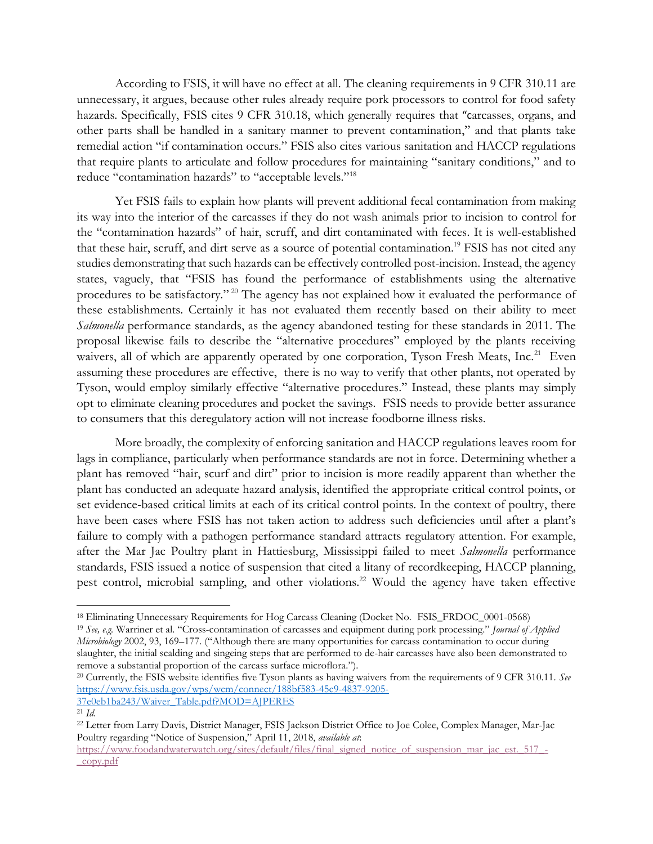According to FSIS, it will have no effect at all. The cleaning requirements in 9 CFR 310.11 are unnecessary, it argues, because other rules already require pork processors to control for food safety hazards. Specifically, FSIS cites 9 CFR 310.18, which generally requires that "carcasses, organs, and other parts shall be handled in a sanitary manner to prevent contamination," and that plants take remedial action "if contamination occurs." FSIS also cites various sanitation and HACCP regulations that require plants to articulate and follow procedures for maintaining "sanitary conditions," and to reduce "contamination hazards" to "acceptable levels."<sup>18</sup>

Yet FSIS fails to explain how plants will prevent additional fecal contamination from making its way into the interior of the carcasses if they do not wash animals prior to incision to control for the "contamination hazards" of hair, scruff, and dirt contaminated with feces. It is well-established that these hair, scruff, and dirt serve as a source of potential contamination.<sup>19</sup> FSIS has not cited any studies demonstrating that such hazards can be effectively controlled post-incision. Instead, the agency states, vaguely, that "FSIS has found the performance of establishments using the alternative procedures to be satisfactory."<sup>20</sup> The agency has not explained how it evaluated the performance of these establishments. Certainly it has not evaluated them recently based on their ability to meet *Salmonella* performance standards, as the agency abandoned testing for these standards in 2011. The proposal likewise fails to describe the "alternative procedures" employed by the plants receiving waivers, all of which are apparently operated by one corporation, Tyson Fresh Meats, Inc.<sup>21</sup> Even assuming these procedures are effective, there is no way to verify that other plants, not operated by Tyson, would employ similarly effective "alternative procedures." Instead, these plants may simply opt to eliminate cleaning procedures and pocket the savings. FSIS needs to provide better assurance to consumers that this deregulatory action will not increase foodborne illness risks.

More broadly, the complexity of enforcing sanitation and HACCP regulations leaves room for lags in compliance, particularly when performance standards are not in force. Determining whether a plant has removed "hair, scurf and dirt" prior to incision is more readily apparent than whether the plant has conducted an adequate hazard analysis, identified the appropriate critical control points, or set evidence-based critical limits at each of its critical control points. In the context of poultry, there have been cases where FSIS has not taken action to address such deficiencies until after a plant's failure to comply with a pathogen performance standard attracts regulatory attention. For example, after the Mar Jac Poultry plant in Hattiesburg, Mississippi failed to meet *Salmonella* performance standards, FSIS issued a notice of suspension that cited a litany of recordkeeping, HACCP planning, pest control, microbial sampling, and other violations.<sup>22</sup> Would the agency have taken effective

<sup>20</sup> Currently, the FSIS website identifies five Tyson plants as having waivers from the requirements of 9 CFR 310.11. *See*  [https://www.fsis.usda.gov/wps/wcm/connect/188bf583-45c9-4837-9205-](https://www.fsis.usda.gov/wps/wcm/connect/188bf583-45c9-4837-9205-37e0eb1ba243/Waiver_Table.pdf?MOD=AJPERES)

 $\overline{a}$ <sup>18</sup> Eliminating Unnecessary Requirements for Hog Carcass Cleaning (Docket No. FSIS\_FRDOC\_0001-0568)

<sup>19</sup> *See, e.g.* Warriner et al. "Cross-contamination of carcasses and equipment during pork processing." *Journal of Applied Microbiology* 2002, 93, 169–177. ("Although there are many opportunities for carcass contamination to occur during slaughter, the initial scalding and singeing steps that are performed to de-hair carcasses have also been demonstrated to remove a substantial proportion of the carcass surface microflora.").

[<sup>37</sup>e0eb1ba243/Waiver\\_Table.pdf?MOD=AJPERES](https://www.fsis.usda.gov/wps/wcm/connect/188bf583-45c9-4837-9205-37e0eb1ba243/Waiver_Table.pdf?MOD=AJPERES)

 $21 \; Id.$ 

<sup>22</sup> Letter from Larry Davis, District Manager, FSIS Jackson District Office to Joe Colee, Complex Manager, Mar-Jac Poultry regarding "Notice of Suspension," April 11, 2018, *available at*:

[https://www.foodandwaterwatch.org/sites/default/files/final\\_signed\\_notice\\_of\\_suspension\\_mar\\_jac\\_est.\\_517\\_-](https://www.foodandwaterwatch.org/sites/default/files/final_signed_notice_of_suspension_mar_jac_est._517_-_copy.pdf) [\\_copy.pdf](https://www.foodandwaterwatch.org/sites/default/files/final_signed_notice_of_suspension_mar_jac_est._517_-_copy.pdf)